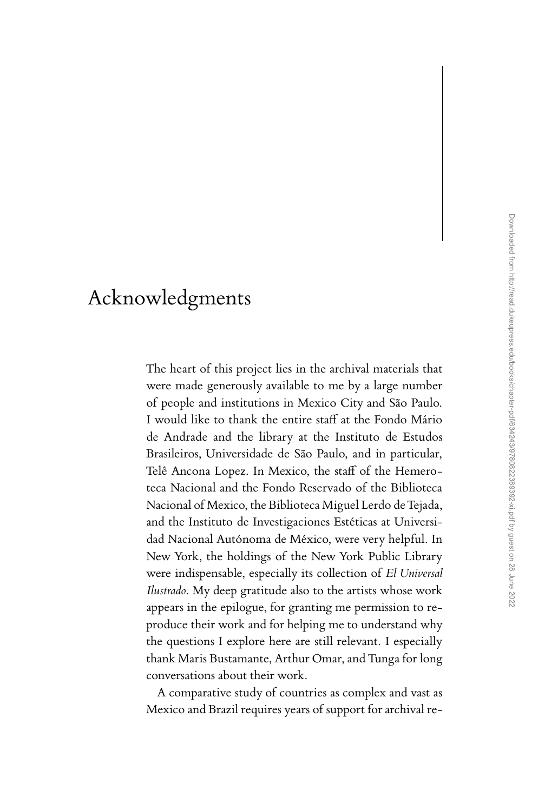## Acknowledgments

The heart of this project lies in the archival materials that were made generously available to me by a large number of people and institutions in Mexico City and São Paulo. I would like to thank the entire staff at the Fondo Mário de Andrade and the library at the Instituto de Estudos Brasileiros, Universidade de São Paulo, and in particular, Telê Ancona Lopez. In Mexico, the staff of the Hemeroteca Nacional and the Fondo Reservado of the Biblioteca Nacional of Mexico, the Biblioteca Miguel Lerdo de Tejada, and the Instituto de Investigaciones Estéticas at Universidad Nacional Autónoma de México, were very helpful. In New York, the holdings of the New York Public Library were indispensable, especially its collection of *El Universal Ilustrado*. My deep gratitude also to the artists whose work appears in the epilogue, for granting me permission to reproduce their work and for helping me to understand why the questions I explore here are still relevant. I especially thank Maris Bustamante, Arthur Omar, and Tunga for long conversations about their work.

A comparative study of countries as complex and vast as Mexico and Brazil requires years of support for archival re